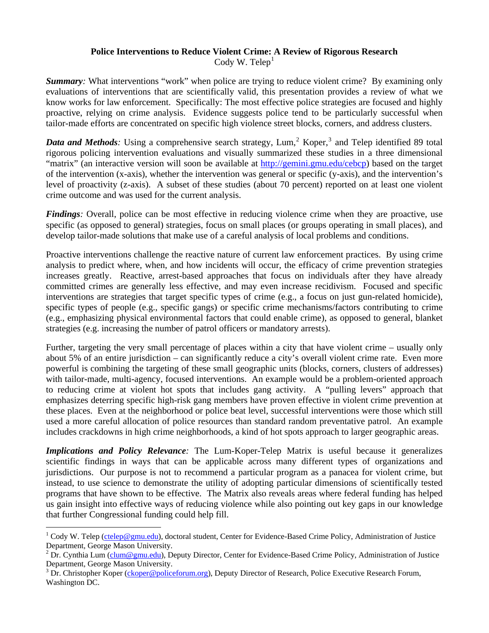#### **Police Interventions to Reduce Violent Crime: A Review of Rigorous Research**  Cody W. Telep<sup>[1](#page-0-0)</sup>

*Summary*: What interventions "work" when police are trying to reduce violent crime? By examining only evaluations of interventions that are scientifically valid, this presentation provides a review of what we know works for law enforcement. Specifically: The most effective police strategies are focused and highly proactive, relying on crime analysis. Evidence suggests police tend to be particularly successful when tailor-made efforts are concentrated on specific high violence street blocks, corners, and address clusters.

Data and Methods: Using a comprehensive search strategy, Lum,<sup>[2](#page-0-1)</sup> Koper,<sup>[3](#page-0-2)</sup> and Telep identified 89 total rigorous policing intervention evaluations and visually summarized these studies in a three dimensional "matrix" (an interactive version will soon be available at [http://gemini.gmu.edu/cebcp\)](http://gemini.gmu.edu/cebcp) based on the target of the intervention (x-axis), whether the intervention was general or specific (y-axis), and the intervention's level of proactivity (z-axis). A subset of these studies (about 70 percent) reported on at least one violent crime outcome and was used for the current analysis.

*Findings*: Overall, police can be most effective in reducing violence crime when they are proactive, use specific (as opposed to general) strategies, focus on small places (or groups operating in small places), and develop tailor-made solutions that make use of a careful analysis of local problems and conditions.

Proactive interventions challenge the reactive nature of current law enforcement practices. By using crime analysis to predict where, when, and how incidents will occur, the efficacy of crime prevention strategies increases greatly. Reactive, arrest-based approaches that focus on individuals after they have already committed crimes are generally less effective, and may even increase recidivism. Focused and specific interventions are strategies that target specific types of crime (e.g., a focus on just gun-related homicide), specific types of people (e.g., specific gangs) or specific crime mechanisms/factors contributing to crime (e.g., emphasizing physical environmental factors that could enable crime), as opposed to general, blanket strategies (e.g. increasing the number of patrol officers or mandatory arrests).

Further, targeting the very small percentage of places within a city that have violent crime – usually only about 5% of an entire jurisdiction – can significantly reduce a city's overall violent crime rate. Even more powerful is combining the targeting of these small geographic units (blocks, corners, clusters of addresses) with tailor-made, multi-agency, focused interventions. An example would be a problem-oriented approach to reducing crime at violent hot spots that includes gang activity. A "pulling levers" approach that emphasizes deterring specific high-risk gang members have proven effective in violent crime prevention at these places. Even at the neighborhood or police beat level, successful interventions were those which still used a more careful allocation of police resources than standard random preventative patrol. An example includes crackdowns in high crime neighborhoods, a kind of hot spots approach to larger geographic areas.

*Implications and Policy Relevance:* The Lum-Koper-Telep Matrix is useful because it generalizes scientific findings in ways that can be applicable across many different types of organizations and jurisdictions. Our purpose is not to recommend a particular program as a panacea for violent crime, but instead, to use science to demonstrate the utility of adopting particular dimensions of scientifically tested programs that have shown to be effective. The Matrix also reveals areas where federal funding has helped us gain insight into effective ways of reducing violence while also pointing out key gaps in our knowledge that further Congressional funding could help fill.

 $\overline{a}$ 

<span id="page-0-0"></span><sup>&</sup>lt;sup>1</sup> Cody W. Telep [\(ctelep@gmu.edu](mailto:ctelep@gmu.edu)), doctoral student, Center for Evidence-Based Crime Policy, Administration of Justice Department, George Mason University.

<span id="page-0-1"></span><sup>&</sup>lt;sup>2</sup> Dr. Cynthia Lum (*clum@gmu.edu*), Deputy Director, Center for Evidence-Based Crime Policy, Administration of Justice Department, George Mason University.

<span id="page-0-2"></span><sup>&</sup>lt;sup>3</sup> Dr. Christopher Koper (*ckoper@policeforum.org*), Deputy Director of Research, Police Executive Research Forum, Washington DC.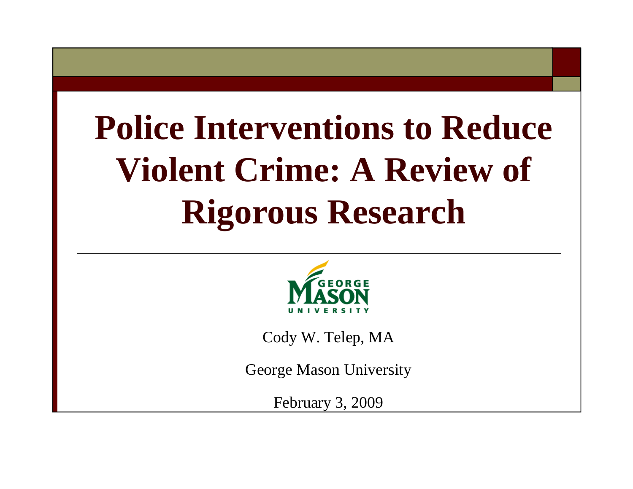# **Police Interventions to Reduce Violent Crime: A Review of Rigorous Research**



Cody W. Telep, MA

George Mason University

February 3, 2009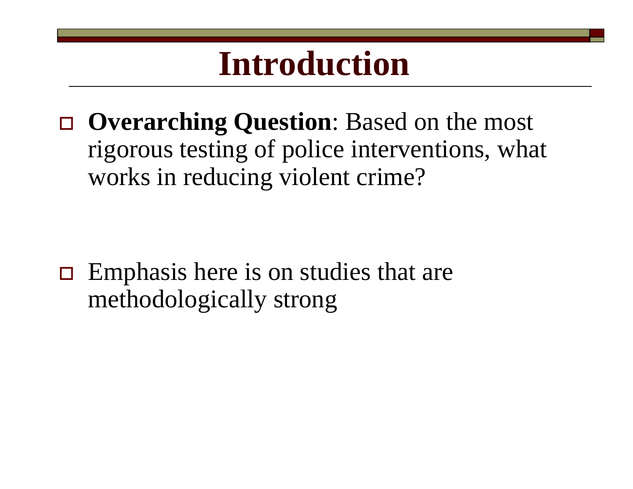## **Introduction**

 **Overarching Question**: Based on the most rigorous testing of police interventions, what works in reducing violent crime?

 $\Box$  Emphasis here is on studies that are methodologically strong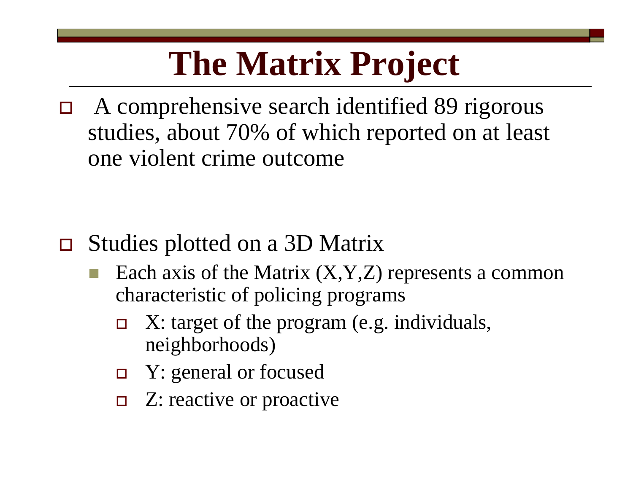## **The Matrix Project**

 $\Box$  A comprehensive search identified 89 rigorous studies, about 70% of which reported on at least one violent crime outcome

- $\Box$  Studies plotted on a 3D Matrix
	- Each axis of the Matrix  $(X, Y, Z)$  represents a common characteristic of policing programs
		- $\Box$  X: target of the program (e.g. individuals, neighborhoods)
		- $\Box$ Y: general or focused
		- $\Box$  Z: reactive or proactive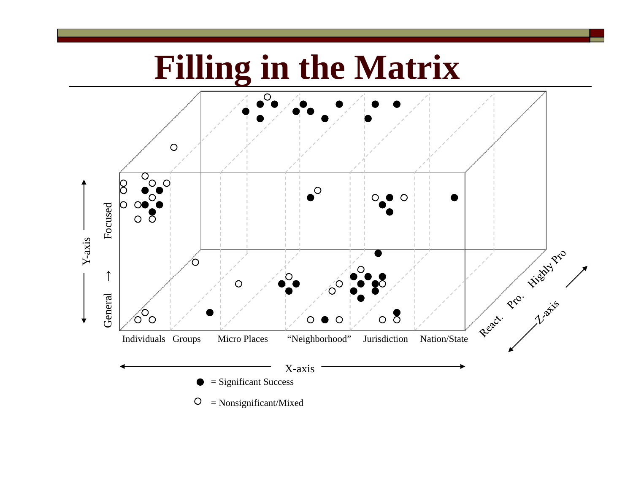## **Filling in the Matrix**

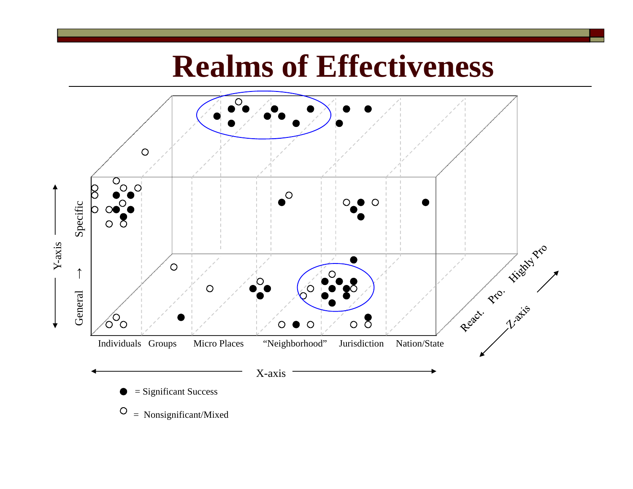## **Realms of Effectiveness**



 $\circ$ = Nonsignificant/Mixed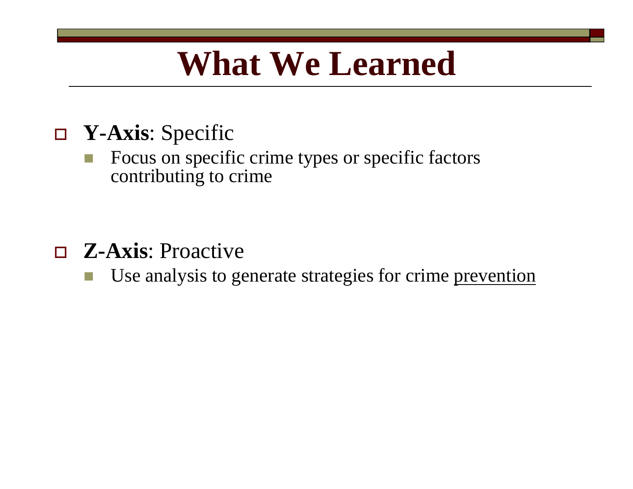## **What We Learned**

### **Y-Axis**: Specific

 Focus on specific crime types or specific factors contributing to crime

- **Z-Axis**: Proactive
	- Use analysis to generate strategies for crime prevention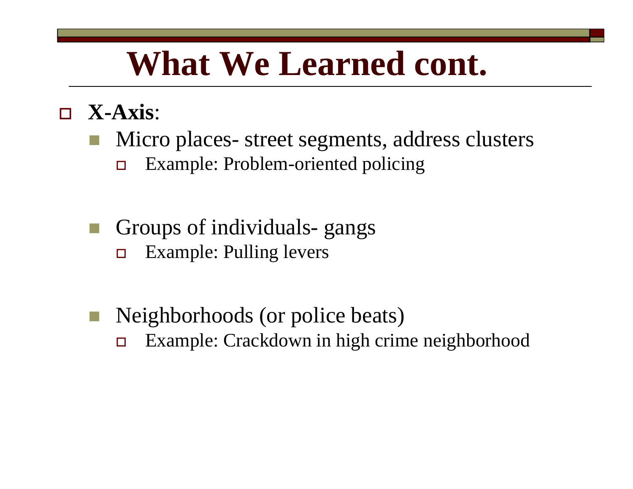## **What We Learned cont.**

- **X-Axis**:
	- Micro places- street segments, address clusters  $\Box$ Example: Problem-oriented policing
	- Groups of individuals- gangs  $\Box$ Example: Pulling levers
	- **Neighborhoods (or police beats)**  $\Box$ Example: Crackdown in high crime neighborhood